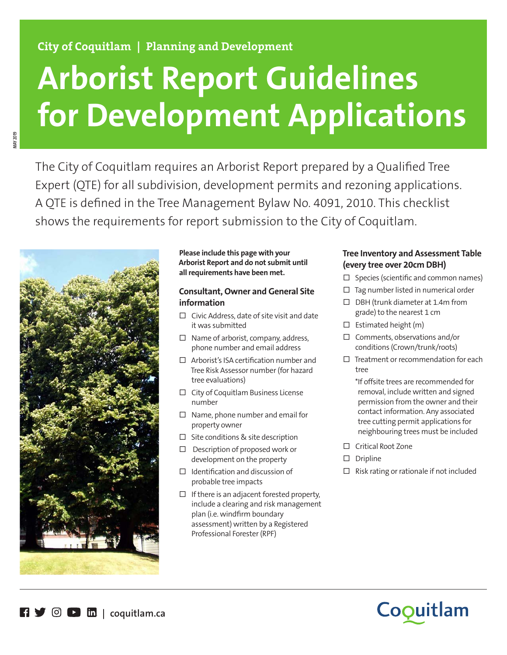# **City of Coquitlam | Planning and Development**

# **Arborist Report Guidelines for Development Applications**

The City of Coquitlam requires an Arborist Report prepared by a Qualified Tree Expert (QTE) for all subdivision, development permits and rezoning applications. A QTE is defined in the Tree Management Bylaw No. 4091, 2010. This checklist shows the requirements for report submission to the City of Coquitlam.



**MAY 2019**

#### **Please include this page with your Arborist Report and do not submit until all requirements have been met.**

# **Consultant, Owner and General Site information**

- $\Box$  Civic Address, date of site visit and date it was submitted
- $\Box$  Name of arborist, company, address, phone number and email address
- $\Box$  Arborist's ISA certification number and Tree Risk Assessor number (for hazard tree evaluations)
- $\Box$  City of Coquitlam Business License number
- $\Box$  Name, phone number and email for property owner
- $\Box$  Site conditions & site description
- $\square$  Description of proposed work or development on the property
- $\Box$  Identification and discussion of probable tree impacts
- $\Box$  If there is an adjacent forested property, include a clearing and risk management plan (i.e. windfirm boundary assessment) written by a Registered Professional Forester (RPF)

# **Tree Inventory and Assessment Table (every tree over 20cm DBH)**

- $\Box$  Species (scientific and common names)
- $\Box$  Tag number listed in numerical order
- $\Box$  DBH (trunk diameter at 1.4m from grade) to the nearest 1 cm
- $\Box$  Estimated height (m)
- $\Box$  Comments, observations and/or conditions (Crown/trunk/roots)
- $\Box$  Treatment or recommendation for each tree

\*If offsite trees are recommended for removal, include written and signed permission from the owner and their contact information. Any associated tree cutting permit applications for neighbouring trees must be included

- □ Critical Root Zone
- $\square$  Dripline
- $\Box$  Risk rating or rationale if not included